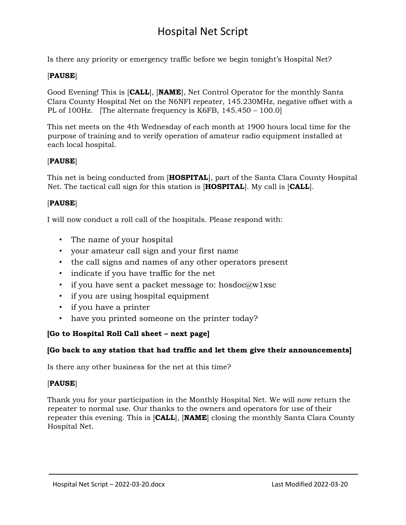# Hospital Net Script

Is there any priority or emergency traffic before we begin tonight's Hospital Net?

### [**PAUSE**]

Good Evening! This is [**CALL**], [**NAME**], Net Control Operator for the monthly Santa Clara County Hospital Net on the N6NFI repeater, 145.230MHz, negative offset with a PL of 100Hz. [The alternate frequency is K6FB, 145.450 – 100.0]

This net meets on the 4th Wednesday of each month at 1900 hours local time for the purpose of training and to verify operation of amateur radio equipment installed at each local hospital.

#### [**PAUSE**]

This net is being conducted from [**HOSPITAL**], part of the Santa Clara County Hospital Net. The tactical call sign for this station is [**HOSPITAL**]. My call is [**CALL**].

#### [**PAUSE**]

I will now conduct a roll call of the hospitals. Please respond with:

- The name of your hospital
- your amateur call sign and your first name
- the call signs and names of any other operators present
- indicate if you have traffic for the net
- if you have sent a packet message to: hosdoc $@w1xsc$
- if you are using hospital equipment
- if you have a printer
- have you printed someone on the printer today?

## **[Go to Hospital Roll Call sheet – next page]**

#### **[Go back to any station that had traffic and let them give their announcements]**

Is there any other business for the net at this time?

## [**PAUSE**]

Thank you for your participation in the Monthly Hospital Net. We will now return the repeater to normal use. Our thanks to the owners and operators for use of their repeater this evening. This is [**CALL**], [**NAME**] closing the monthly Santa Clara County Hospital Net.